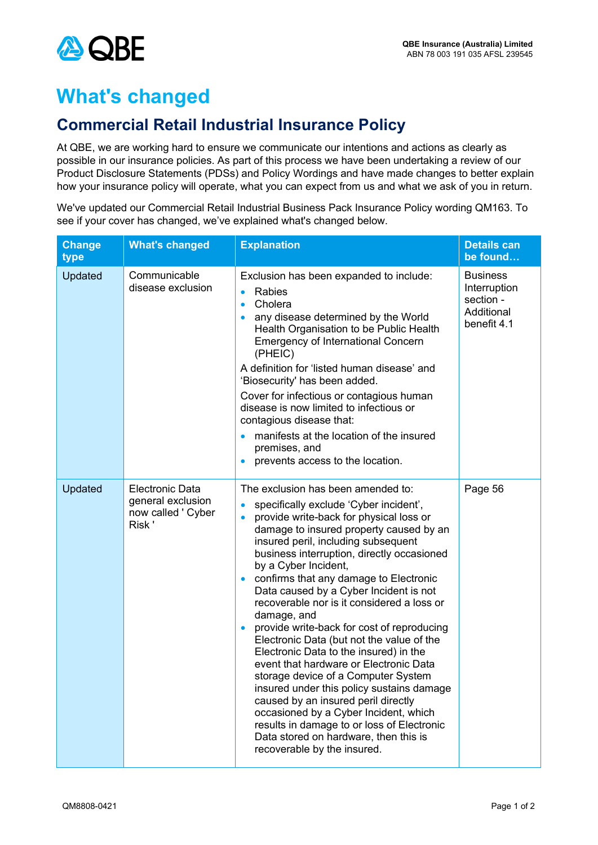

## **What's changed**

## **Commercial Retail Industrial Insurance Policy**

At QBE, we are working hard to ensure we communicate our intentions and actions as clearly as possible in our insurance policies. As part of this process we have been undertaking a review of our Product Disclosure Statements (PDSs) and Policy Wordings and have made changes to better explain how your insurance policy will operate, what you can expect from us and what we ask of you in return.

We've updated our Commercial Retail Industrial Business Pack Insurance Policy wording QM163. To see if your cover has changed, we've explained what's changed below.

| <b>Change</b><br>type | <b>What's changed</b>                                                      | <b>Explanation</b>                                                                                                                                                                                                                                                                                                                                                                                                                                                                                                                                                                                                                                                                                                                                                                                                                                                                                                                               | <b>Details can</b><br>be found                                            |
|-----------------------|----------------------------------------------------------------------------|--------------------------------------------------------------------------------------------------------------------------------------------------------------------------------------------------------------------------------------------------------------------------------------------------------------------------------------------------------------------------------------------------------------------------------------------------------------------------------------------------------------------------------------------------------------------------------------------------------------------------------------------------------------------------------------------------------------------------------------------------------------------------------------------------------------------------------------------------------------------------------------------------------------------------------------------------|---------------------------------------------------------------------------|
| Updated               | Communicable<br>disease exclusion                                          | Exclusion has been expanded to include:<br>Rabies<br>$\bullet$<br>Cholera<br>$\bullet$<br>any disease determined by the World<br>$\bullet$<br>Health Organisation to be Public Health<br><b>Emergency of International Concern</b><br>(PHEIC)<br>A definition for 'listed human disease' and<br>'Biosecurity' has been added.<br>Cover for infectious or contagious human<br>disease is now limited to infectious or<br>contagious disease that:<br>manifests at the location of the insured<br>premises, and<br>prevents access to the location.<br>$\bullet$                                                                                                                                                                                                                                                                                                                                                                                   | <b>Business</b><br>Interruption<br>section -<br>Additional<br>benefit 4.1 |
| Updated               | <b>Electronic Data</b><br>general exclusion<br>now called ' Cyber<br>Risk' | The exclusion has been amended to:<br>specifically exclude 'Cyber incident',<br>$\bullet$<br>provide write-back for physical loss or<br>$\bullet$<br>damage to insured property caused by an<br>insured peril, including subsequent<br>business interruption, directly occasioned<br>by a Cyber Incident,<br>confirms that any damage to Electronic<br>Data caused by a Cyber Incident is not<br>recoverable nor is it considered a loss or<br>damage, and<br>provide write-back for cost of reproducing<br>$\bullet$<br>Electronic Data (but not the value of the<br>Electronic Data to the insured) in the<br>event that hardware or Electronic Data<br>storage device of a Computer System<br>insured under this policy sustains damage<br>caused by an insured peril directly<br>occasioned by a Cyber Incident, which<br>results in damage to or loss of Electronic<br>Data stored on hardware, then this is<br>recoverable by the insured. | Page 56                                                                   |